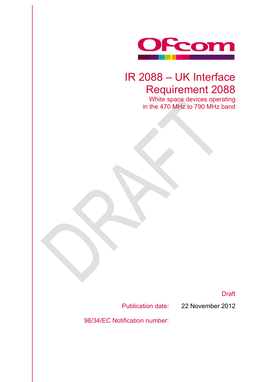

# IR 2088 – UK Interface Requirement 2088

White space devices operating in the 470 MHz to 790 MHz band

Draft

Publication date: 22 November 2012

98/34/EC Notification number: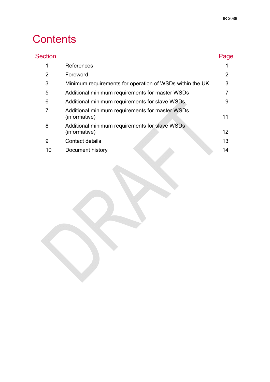# **Contents**

| <b>Section</b> |                                                                  | Page |
|----------------|------------------------------------------------------------------|------|
| 1              | <b>References</b>                                                |      |
| 2              | Foreword                                                         | 2    |
| 3              | Minimum requirements for operation of WSDs within the UK         | 3    |
| 5              | Additional minimum requirements for master WSDs                  |      |
| 6              | Additional minimum requirements for slave WSDs                   | 9    |
| 7              | Additional minimum requirements for master WSDs<br>(informative) | 11   |
| 8              | Additional minimum requirements for slave WSDs<br>(informative)  | 12   |
| 9              | Contact details                                                  | 13   |
| 10             | Document history                                                 | 14   |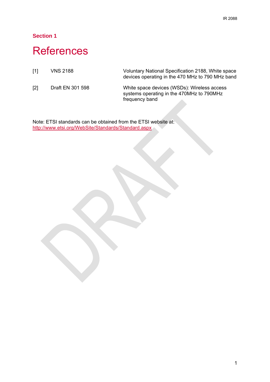## **References**

[1] VNS 2188 Voluntary National Specification 2188, White space devices operating in the 470 MHz to 790 MHz band

[2] Draft EN 301 598 White space devices (WSDs): Wireless access systems operating in the 470MHz to 790MHz frequency band

Note: ETSI standards can be obtained from the ETSI website at: http://www.etsi.org/WebSite/Standards/Standard.aspx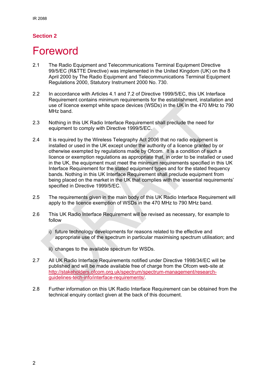## **Foreword**

- 2.1 The Radio Equipment and Telecommunications Terminal Equipment Directive 99/5/EC (R&TTE Directive) was implemented in the United Kingdom (UK) on the 8 April 2000 by The Radio Equipment and Telecommunications Terminal Equipment Regulations 2000, Statutory Instrument 2000 No. 730.
- 2.2 In accordance with Articles 4.1 and 7.2 of Directive 1999/5/EC, this UK Interface Requirement contains minimum requirements for the establishment, installation and use of licence exempt white space devices (WSDs) in the UK in the 470 MHz to 790 MHz band.
- 2.3 Nothing in this UK Radio Interface Requirement shall preclude the need for equipment to comply with Directive 1999/5/EC.
- 2.4 It is required by the Wireless Telegraphy Act 2006 that no radio equipment is installed or used in the UK except under the authority of a licence granted by or otherwise exempted by regulations made by Ofcom. It is a condition of such a licence or exemption regulations as appropriate that, in order to be installed or used in the UK, the equipment must meet the minimum requirements specified in this UK Interface Requirement for the stated equipment types and for the stated frequency bands. Nothing in this UK Interface Requirement shall preclude equipment from being placed on the market in the UK that complies with the 'essential requirements' specified in Directive 1999/5/EC.
- 2.5 The requirements given in the main body of this UK Radio Interface Requirement will apply to the licence exemption of WSDs in the 470 MHz to 790 MHz band.
- 2.6 This UK Radio Interface Requirement will be revised as necessary, for example to follow
	- i) future technology developments for reasons related to the effective and appropriate use of the spectrum in particular maximising spectrum utilisation; and
	- ii) changes to the available spectrum for WSDs.
- 2.7 All UK Radio Interface Requirements notified under Directive 1998/34/EC will be published and will be made available free of charge from the Ofcom web-site at http://stakeholders.ofcom.org.uk/spectrum/spectrum-management/researchguidelines-tech-info/interface-requirements/.
- 2.8 Further information on this UK Radio Interface Requirement can be obtained from the technical enquiry contact given at the back of this document.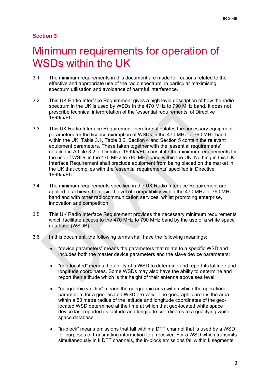# Minimum requirements for operation of WSDs within the UK

- 3.1 The minimum requirements in this document are made for reasons related to the effective and appropriate use of the radio spectrum, in particular maximising spectrum utilisation and avoidance of harmful interference.
- 3.2 This UK Radio Interface Requirement gives a high level description of how the radio spectrum in the UK is used by WSDs in the 470 MHz to 790 MHz band. It does not prescribe technical interpretation of the 'essential requirements' of Directive 1999/5/EC.
- 3.3 This UK Radio Interface Requirement therefore stipulates the necessary equipment parameters for the licence exemption of WSDs in the 470 MHz to 790 MHz band within the UK. Table 3.1, Table 3.2, Section 4 and Section 5 contain the relevant equipment parameters. These taken together with the 'essential requirements' detailed in Article 3.2 of Directive 1999/5/EC constitute the minimum requirements for the use of WSDs in the 470 MHz to 790 MHz band within the UK. Nothing in this UK Interface Requirement shall preclude equipment from being placed on the market in the UK that complies with the 'essential requirements' specified in Directive 1999/5/EC.
- 3.4 The minimum requirements specified in the UK Radio Interface Requirement are applied to achieve the desired level of compatibility within the 470 MHz to 790 MHz band and with other radiocommunication services, whilst promoting enterprise, innovation and competition.
- 3.5 This UK Radio Interface Requirement provides the necessary minimum requirements which facilitate access to the 470 MHz to 790 MHz band by the use of a white space database (WSDB).
- 3.6 In this document, the following terms shall have the following meanings:
	- "device parameters" means the parameters that relate to a specific WSD and includes both the master device parameters and the slave device parameters;
	- "geo-located" means the ability of a WSD to determine and report its latitude and longitude coordinates. Some WSDs may also have the ability to determine and report their altitude which is the height of their antenna above sea level;
	- "geographic validity" means the geographic area within which the operational parameters for a geo-located WSD are valid. The geographic area is the area within a 50 metre radius of the latitude and longitude coordinates of the geolocated WSD determined at the time at which that geo-located white space device last reported its latitude and longitude coordinates to a qualifying white space database;
	- "in-block" means emissions that fall within a DTT channel that is used by a WSD for purposes of transmitting information to a receiver. For a WSD which transmits simultaneously in k DTT channels, the in-block emissions fall within k segments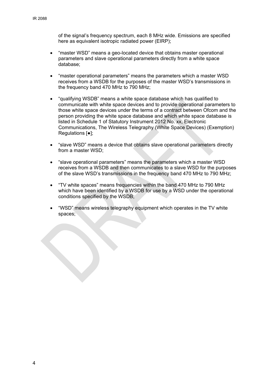of the signal's frequency spectrum, each 8 MHz wide. Emissions are specified here as equivalent isotropic radiated power (EIRP);

- "master WSD" means a geo-located device that obtains master operational parameters and slave operational parameters directly from a white space database;
- "master operational parameters" means the parameters which a master WSD receives from a WSDB for the purposes of the master WSD's transmissions in the frequency band 470 MHz to 790 MHz;
- "qualifying WSDB" means a white space database which has qualified to communicate with white space devices and to provide operational parameters to those white space devices under the terms of a contract between Ofcom and the person providing the white space database and which white space database is listed in Schedule 1 of Statutory Instrument 2012 No. xx, Electronic Communications, The Wireless Telegraphy (White Space Devices) (Exemption) Regulations [●];
- "slave WSD" means a device that obtains slave operational parameters directly from a master WSD;
- "slave operational parameters" means the parameters which a master WSD receives from a WSDB and then communicates to a slave WSD for the purposes of the slave WSD's transmissions in the frequency band 470 MHz to 790 MHz;
- "TV white spaces" means frequencies within the band 470 MHz to 790 MHz which have been identified by a WSDB for use by a WSD under the operational conditions specified by the WSDB;
- "WSD" means wireless telegraphy equipment which operates in the TV white spaces;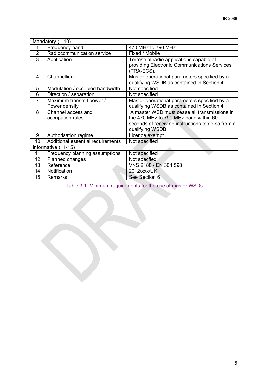| Mandatory (1-10) |                                   |                                                                                           |
|------------------|-----------------------------------|-------------------------------------------------------------------------------------------|
|                  | Frequency band                    | 470 MHz to 790 MHz                                                                        |
| $\overline{2}$   | Radiocommunication service        | Fixed / Mobile                                                                            |
| 3                | Application                       | Terrestrial radio applications capable of<br>providing Electronic Communications Services |
|                  |                                   | (TRA-ECS).                                                                                |
| 4                | Channelling                       | Master operational parameters specified by a                                              |
|                  |                                   | qualifying WSDB as contained in Section 4.                                                |
| 5                | Modulation / occupied bandwidth   | Not specified                                                                             |
| 6                | Direction / separation            | Not specified                                                                             |
| $\overline{7}$   | Maximum transmit power /          | Master operational parameters specified by a                                              |
|                  | Power density                     | qualifying WSDB as contained in Section 4.                                                |
| 8                | Channel access and                | A master WSD must cease all transmissions in                                              |
|                  | occupation rules                  | the 470 MHz to 790 MHz band within 60                                                     |
|                  |                                   | seconds of receiving instructions to do so from a<br>qualifying WSDB.                     |
| 9                | Authorisation regime              | Licence exempt                                                                            |
| 10               | Additional essential requirements | Not specified                                                                             |
|                  | Informative (11-15)               |                                                                                           |
| 11               | Frequency planning assumptions    | Not specified                                                                             |
| 12               | Planned changes                   | Not specfied                                                                              |
| 13               | Reference                         | VNS 2188 / EN 301 598                                                                     |
| 14               | Notification                      | 2012/xxx/UK                                                                               |
| 15               | <b>Remarks</b>                    | See Section 6                                                                             |

Table 3.1. Minimum requirements for the use of master WSDs.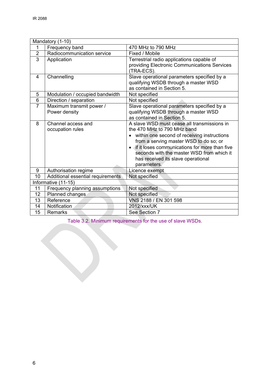|                 | Mandatory (1-10)                  |                                                                                           |  |
|-----------------|-----------------------------------|-------------------------------------------------------------------------------------------|--|
| 1               | Frequency band                    | 470 MHz to 790 MHz                                                                        |  |
| $\overline{2}$  | Radiocommunication service        | Fixed / Mobile                                                                            |  |
| $\overline{3}$  | Application                       | Terrestrial radio applications capable of<br>providing Electronic Communications Services |  |
|                 |                                   | (TRA-ECS).                                                                                |  |
| 4               | Channelling                       | Slave operational parameters specified by a                                               |  |
|                 |                                   | qualifying WSDB through a master WSD                                                      |  |
|                 |                                   | as contained in Section 5.                                                                |  |
| 5               | Modulation / occupied bandwidth   | Not specified                                                                             |  |
| $6\phantom{1}6$ | Direction / separation            | Not specified                                                                             |  |
| $\overline{7}$  | Maximum transmit power /          | Slave operational parameters specified by a                                               |  |
|                 | Power density                     | qualifying WSDB through a master WSD                                                      |  |
|                 |                                   | as contained in Section 5.                                                                |  |
| 8               | Channel access and                | A slave WSD must cease all transmissions in                                               |  |
|                 | occupation rules                  | the 470 MHz to 790 MHz band                                                               |  |
|                 |                                   | within one second of receiving instructions                                               |  |
|                 |                                   | from a serving master WSD to do so; or                                                    |  |
|                 |                                   | if it loses communications for more than five                                             |  |
|                 |                                   | seconds with the master WSD from which it                                                 |  |
|                 |                                   | has received its slave operational                                                        |  |
|                 |                                   | parameters.                                                                               |  |
| 9               | Authorisation regime              | Licence exempt                                                                            |  |
| 10              | Additional essential requirements | Not specified                                                                             |  |
|                 | Informative (11-15)               |                                                                                           |  |
| 11              | Frequency planning assumptions    | Not specified                                                                             |  |
| 12              | Planned changes                   | Not specified                                                                             |  |
| 13              | Reference                         | VNS 2188 / EN 301 598                                                                     |  |
| 14              | Notification                      | 2012/xxx/UK                                                                               |  |
| 15              | Remarks                           | See Section 7                                                                             |  |

Table 3.2. Minimum requirements for the use of slave WSDs.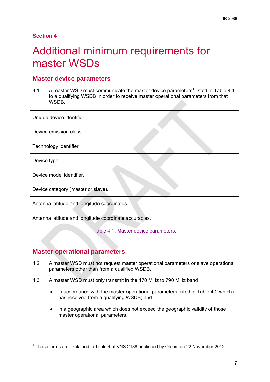# 4 Additional minimum requirements for master WSDs

#### **Master device parameters**

4.1 A master WSD must communicate the master device parameters<sup>1</sup> listed in Table 4.1 to a qualifying WSDB in order to receive master operational parameters from that WSDB.

| Unique device identifier.                             |  |
|-------------------------------------------------------|--|
| Device emission class.                                |  |
| Technology identifier.                                |  |
| Device type.                                          |  |
| Device model identifier.                              |  |
| Device category (master or slave).                    |  |
| Antenna latitude and longitude coordinates.           |  |
| Antenna latitude and longitude coordinate accuracies. |  |

Table 4.1. Master device parameters.

### **Master operational parameters**

- 4.2 A master WSD must not request master operational parameters or slave operational parameters other than from a qualified WSDB**.**
- 4.3 A master WSD must only transmit in the 470 MHz to 790 MHz band
	- in accordance with the master operational parameters listed in Table 4.2 which it has received from a qualifying WSDB; and
	- in a geographic area which does not exceed the geographic validity of those master operational parameters.

<sup>————————————————————&</sup>lt;br><sup>1</sup> These terms are explained in Table 4 of VNS 2188 published by Ofcom on 22 November 2012.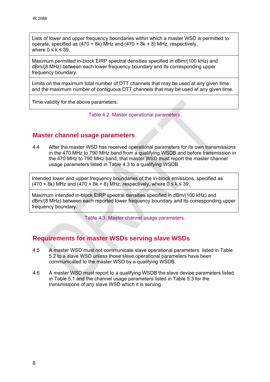Lists of lower and upper frequency boundaries within which a master WSD is permitted to operate, specified as  $(470 + 8k)$  MHz and  $(470 + 8k + 8)$  MHz, respectively, where  $0 \leq k \leq 39$ .

Maximum permitted in-block EIRP spectral densities specified in dBm/(100 kHz) and dBm/(8 MHz) between each lower frequency boundary and its corresponding upper frequency boundary.

Limits on the maximum total number of DTT channels that may be used at any given time and the maximum number of contiguous DTT channels that may be used at any given time.

Time validity for the above parameters.

Table 4.2. Master operational parameters.

### **Master channel usage parameters**

4.4 After the master WSD has received operational parameters for its own transmissions in the 470 MHz to 790 MHz band from a qualifying WSDB and before transmission in the 470 MHz to 790 MHz band, that master WSD must report the master channel usage parameters listed in Table 4.3 to a qualifying WSDB.

Intended lower and upper frequency boundaries of the in-block emissions, specified as  $(470 + 8k)$  MHz and  $(470 + 8k + 8)$  MHz, respectively, where  $0 \le k \le 39$ .

Maximum intended in-block EIRP spectral densities specified in dBm/(100 kHz) and dBm/(8 MHz) between each reported lower frequency boundary and its corresponding upper frequency boundary.

Table 4.3. Master channel usage parameters.

### **Requirements for master WSDs serving slave WSDs**

- 4.5 A master WSD must not communicate slave operational parameters listed in Table 5.2 to a slave WSD unless those slave operational parameters have been communicated to the master WSD by a qualifying WSDB.
- 4.6 A master WSD must report to a qualifying WSDB the slave device parameters listed in Table 5.1 and the channel usage parameters listed in Table 5.3 for the transmissions of any slave WSD which it is serving.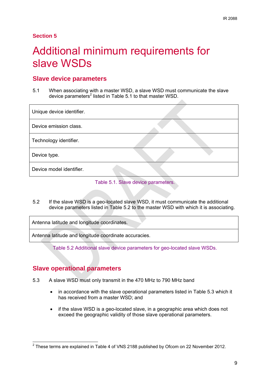# Additional minimum requirements for slave WSDs

### **Slave device parameters**

5.1 When associating with a master WSD, a slave WSD must communicate the slave device parameters<sup>2</sup> listed in Table 5.1 to that master WSD.

| Unique device identifier. |  |
|---------------------------|--|
| Device emission class.    |  |
| Technology identifier.    |  |
| Device type.              |  |
| Device model identifier.  |  |

#### Table 5.1. Slave device parameters.

5.2 If the slave WSD is a geo-located slave WSD, it must communicate the additional device parameters listed in Table 5.2 to the master WSD with which it is associating.

Antenna latitude and longitude coordinates.

Antenna latitude and longitude coordinate accuracies.

Table 5.2 Additional slave device parameters for geo-located slave WSDs.

### **Slave operational parameters**

- 5.3 A slave WSD must only transmit in the 470 MHz to 790 MHz band
	- in accordance with the slave operational parameters listed in Table 5.3 which it has received from a master WSD; and
	- if the slave WSD is a geo-located slave, in a geographic area which does not exceed the geographic validity of those slave operational parameters.

<sup>————————————————————&</sup>lt;br><sup>2</sup> These terms are explained in Table 4 of VNS 2188 published by Ofcom on 22 November 2012.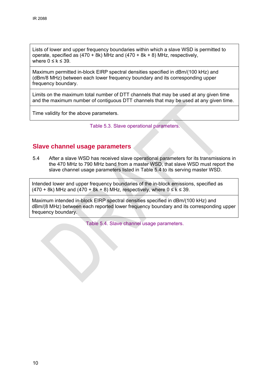Lists of lower and upper frequency boundaries within which a slave WSD is permitted to operate, specified as  $(470 + 8k)$  MHz and  $(470 + 8k + 8)$  MHz, respectively, where  $0 \leq k \leq 39$ .

Maximum permitted in-block EIRP spectral densities specified in dBm/(100 kHz) and (dBm/8 MHz) between each lower frequency boundary and its corresponding upper frequency boundary.

Limits on the maximum total number of DTT channels that may be used at any given time and the maximum number of contiguous DTT channels that may be used at any given time.

Time validity for the above parameters.

Table 5.3. Slave operational parameters.

#### **Slave channel usage parameters**

5.4 After a slave WSD has received slave operational parameters for its transmissions in the 470 MHz to 790 MHz band from a master WSD, that slave WSD must report the slave channel usage parameters listed in Table 5.4 to its serving master WSD.

Intended lower and upper frequency boundaries of the in-block emissions, specified as  $(470 + 8k)$  MHz and  $(470 + 8k + 8)$  MHz, respectively, where  $0 \le k \le 39$ .

Maximum intended in-block EIRP spectral densities specified in dBm/(100 kHz) and dBm/(8 MHz) between each reported lower frequency boundary and its corresponding upper frequency boundary.

Table 5.4. Slave channel usage parameters.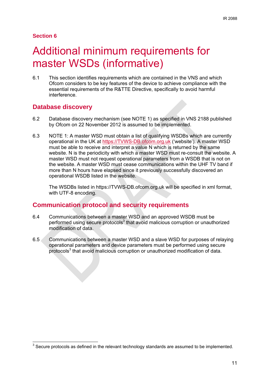# 6 Additional minimum requirements for master WSDs (informative)

6.1 This section identifies requirements which are contained in the VNS and which Ofcom considers to be key features of the device to achieve compliance with the essential requirements of the R&TTE Directive, specifically to avoid harmful interference.

#### **Database discovery**

- 6.2 Database discovery mechanism (see NOTE 1) as specified in VNS 2188 published by Ofcom on 22 November 2012 is assumed to be implemented.
- 6.3 NOTE 1: A master WSD must obtain a list of qualifying WSDBs which are currently operational in the UK at https://TVWS-DB.ofcom.org.uk ('website'). A master WSD must be able to receive and interpret a value N which is returned by the same website. N is the periodicity with which a master WSD must re-consult the website. A master WSD must not request operational parameters from a WSDB that is not on the website. A master WSD must cease communications within the UHF TV band if more than N hours have elapsed since it previously successfully discovered an operational WSDB listed in the website.

The WSDBs listed in https://TVWS-DB.ofcom.org.uk will be specified in xml format, with UTF-8 encoding.

### **Communication protocol and security requirements**

- 6.4 Communications between a master WSD and an approved WSDB must be performed using secure protocols<sup>3</sup> that avoid malicious corruption or unauthorized modification of data.
- 6.5 Communications between a master WSD and a slave WSD for purposes of relaying operational parameters and device parameters must be performed using secure protocols<sup>3</sup> that avoid malicious corruption or unauthorized modification of data.

 3 Secure protocols as defined in the relevant technology standards are assumed to be implemented.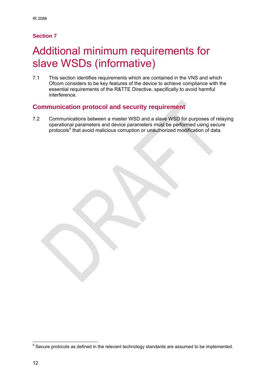# Additional minimum requirements for slave WSDs (informative)

7.1 This section identifies requirements which are contained in the VNS and which Ofcom considers to be key features of the device to achieve compliance with the essential requirements of the R&TTE Directive, specifically to avoid harmful interference.

### **Communication protocol and security requirement**

7.2 Communications between a master WSD and a slave WSD for purposes of relaying operational parameters and device parameters must be performed using secure protocols<sup>4</sup> that avoid malicious corruption or unauthorized modification of data.

<sup>————————————————————&</sup>lt;br><sup>4</sup> Secure protocols as defined in the relevant technology standards are assumed to be implemented.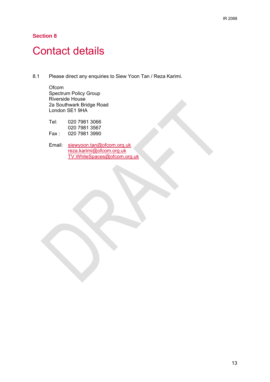# **Contact details**

8.1 Please direct any enquiries to Siew Yoon Tan / Reza Karimi.

**Ofcom** Spectrum Policy Group Riverside House 2a Southwark Bridge Road London SE1 9HA

| Tel:  | 020 7981 3066 |
|-------|---------------|
|       | 020 7981 3567 |
| Fax : | 020 7981 3990 |

Email: siewyoon.tan@ofcom.org.uk reza.karimi@ofcom.org.uk TV.WhiteSpaces@ofcom.org.uk